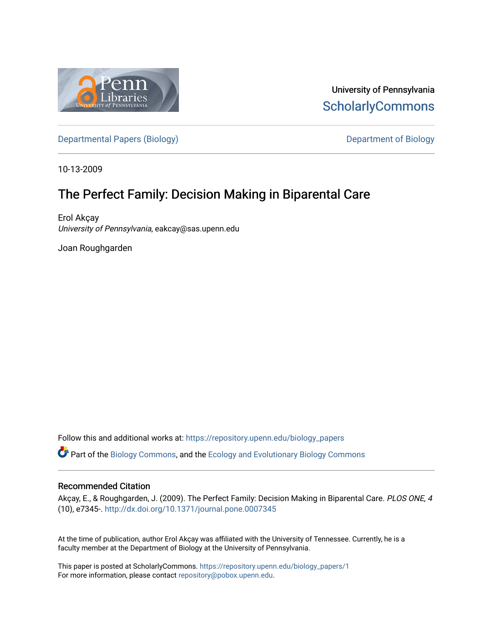

University of Pennsylvania **ScholarlyCommons** 

[Departmental Papers \(Biology\)](https://repository.upenn.edu/biology_papers) and Department of Biology

10-13-2009

# The Perfect Family: Decision Making in Biparental Care

Erol Akçay University of Pennsylvania, eakcay@sas.upenn.edu

Joan Roughgarden

Follow this and additional works at: [https://repository.upenn.edu/biology\\_papers](https://repository.upenn.edu/biology_papers?utm_source=repository.upenn.edu%2Fbiology_papers%2F1&utm_medium=PDF&utm_campaign=PDFCoverPages) 

Part of the [Biology Commons,](http://network.bepress.com/hgg/discipline/41?utm_source=repository.upenn.edu%2Fbiology_papers%2F1&utm_medium=PDF&utm_campaign=PDFCoverPages) and the [Ecology and Evolutionary Biology Commons](http://network.bepress.com/hgg/discipline/14?utm_source=repository.upenn.edu%2Fbiology_papers%2F1&utm_medium=PDF&utm_campaign=PDFCoverPages) 

# Recommended Citation

Akçay, E., & Roughgarden, J. (2009). The Perfect Family: Decision Making in Biparental Care. PLOS ONE, 4 (10), e7345-.<http://dx.doi.org/10.1371/journal.pone.0007345>

At the time of publication, author Erol Akçay was affiliated with the University of Tennessee. Currently, he is a faculty member at the Department of Biology at the University of Pennsylvania.

This paper is posted at ScholarlyCommons. [https://repository.upenn.edu/biology\\_papers/1](https://repository.upenn.edu/biology_papers/1) For more information, please contact [repository@pobox.upenn.edu.](mailto:repository@pobox.upenn.edu)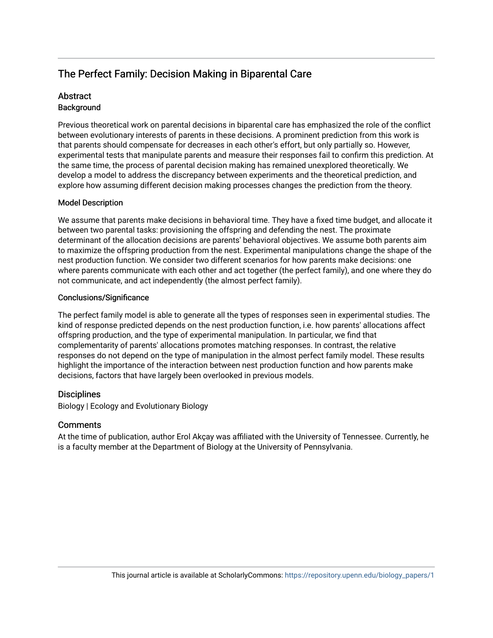# The Perfect Family: Decision Making in Biparental Care

# **Abstract** Background

Previous theoretical work on parental decisions in biparental care has emphasized the role of the conflict between evolutionary interests of parents in these decisions. A prominent prediction from this work is that parents should compensate for decreases in each other's effort, but only partially so. However, experimental tests that manipulate parents and measure their responses fail to confirm this prediction. At the same time, the process of parental decision making has remained unexplored theoretically. We develop a model to address the discrepancy between experiments and the theoretical prediction, and explore how assuming different decision making processes changes the prediction from the theory.

# Model Description

We assume that parents make decisions in behavioral time. They have a fixed time budget, and allocate it between two parental tasks: provisioning the offspring and defending the nest. The proximate determinant of the allocation decisions are parents' behavioral objectives. We assume both parents aim to maximize the offspring production from the nest. Experimental manipulations change the shape of the nest production function. We consider two different scenarios for how parents make decisions: one where parents communicate with each other and act together (the perfect family), and one where they do not communicate, and act independently (the almost perfect family).

# Conclusions/Significance

The perfect family model is able to generate all the types of responses seen in experimental studies. The kind of response predicted depends on the nest production function, i.e. how parents' allocations affect offspring production, and the type of experimental manipulation. In particular, we find that complementarity of parents' allocations promotes matching responses. In contrast, the relative responses do not depend on the type of manipulation in the almost perfect family model. These results highlight the importance of the interaction between nest production function and how parents make decisions, factors that have largely been overlooked in previous models.

# **Disciplines**

Biology | Ecology and Evolutionary Biology

# **Comments**

At the time of publication, author Erol Akçay was affiliated with the University of Tennessee. Currently, he is a faculty member at the Department of Biology at the University of Pennsylvania.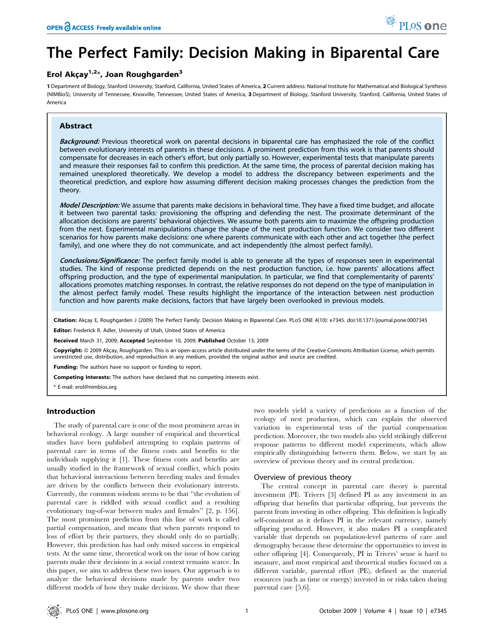# The Perfect Family: Decision Making in Biparental Care

## Erol Akçay<sup>1,2\*</sup>, Joan Roughgarden<sup>3</sup>

1 Department of Biology, Stanford University, Stanford, California, United States of America, 2 Current address: National Institute for Mathematical and Biological Synthesis (NIMBioS), University of Tennessee, Knoxville, Tennessee, United States of America, 3Department of Biology, Stanford University, Stanford, California, United States of America

## Abstract

Background: Previous theoretical work on parental decisions in biparental care has emphasized the role of the conflict between evolutionary interests of parents in these decisions. A prominent prediction from this work is that parents should compensate for decreases in each other's effort, but only partially so. However, experimental tests that manipulate parents and measure their responses fail to confirm this prediction. At the same time, the process of parental decision making has remained unexplored theoretically. We develop a model to address the discrepancy between experiments and the theoretical prediction, and explore how assuming different decision making processes changes the prediction from the theory.

Model Description: We assume that parents make decisions in behavioral time. They have a fixed time budget, and allocate it between two parental tasks: provisioning the offspring and defending the nest. The proximate determinant of the allocation decisions are parents' behavioral objectives. We assume both parents aim to maximize the offspring production from the nest. Experimental manipulations change the shape of the nest production function. We consider two different scenarios for how parents make decisions: one where parents communicate with each other and act together (the perfect family), and one where they do not communicate, and act independently (the almost perfect family).

**Conclusions/Significance:** The perfect family model is able to generate all the types of responses seen in experimental studies. The kind of response predicted depends on the nest production function, i.e. how parents' allocations affect offspring production, and the type of experimental manipulation. In particular, we find that complementarity of parents' allocations promotes matching responses. In contrast, the relative responses do not depend on the type of manipulation in the almost perfect family model. These results highlight the importance of the interaction between nest production function and how parents make decisions, factors that have largely been overlooked in previous models.

Citation: Akçay E, Roughgarden J (2009) The Perfect Family: Decision Making in Biparental Care. PLoS ONE 4(10): e7345. doi:10.1371/journal.pone.0007345

Editor: Frederick R. Adler, University of Utah, United States of America

Received March 31, 2009; Accepted September 10, 2009; Published October 13, 2009

Copyright: @ 2009 Akçay, Roughgarden. This is an open-access article distributed under the terms of the Creative Commons Attribution License, which permits unrestricted use, distribution, and reproduction in any medium, provided the original author and source are credited.

Funding: The authors have no support or funding to report.

Competing Interests: The authors have declared that no competing interests exist.

\* E-mail: erol@nimbios.org

## Introduction

The study of parental care is one of the most prominent areas in behavioral ecology. A large number of empirical and theoretical studies have been published attempting to explain patterns of parental care in terms of the fitness costs and benefits to the individuals supplying it [1]. These fitness costs and benefits are usually studied in the framework of sexual conflict, which posits that behavioral interactions between breeding males and females are driven by the conflicts between their evolutionary interests. Currently, the common wisdom seems to be that ''the evolution of parental care is riddled with sexual conflict and a resulting evolutionary tug-of-war between males and females'' [2, p. 156]. The most prominent prediction from this line of work is called partial compensation, and means that when parents respond to loss of effort by their partners, they should only do so partially. However, this prediction has had only mixed success in empirical tests. At the same time, theoretical work on the issue of how caring parents make their decisions in a social context remains scarce. In this paper, we aim to address these two issues. Our approach is to analyze the behavioral decisions made by parents under two different models of how they make decisions. We show that these

two models yield a variety of predictions as a function of the ecology of nest production, which can explain the observed variation in experimental tests of the partial compensation prediction. Moreover, the two models also yield strikingly different response patterns to different model experiments, which allow empirically distinguishing between them. Below, we start by an overview of previous theory and its central prediction.

### Overview of previous theory

The central concept in parental care theory is parental investment (PI). Trivers [3] defined PI as any investment in an offspring that benefits that particular offspring, but prevents the parent from investing in other offspring. This definition is logically self-consistent as it defines PI in the relevant currency, namely offspring produced. However, it also makes PI a complicated variable that depends on population-level patterns of care and demography because these determine the opportunities to invest in other offspring [4]. Consequently, PI in Trivers' sense is hard to measure, and most empirical and theoretical studies focused on a different variable, parental effort (PE), defined as the material resources (such as time or energy) invested in or risks taken during parental care [5,6].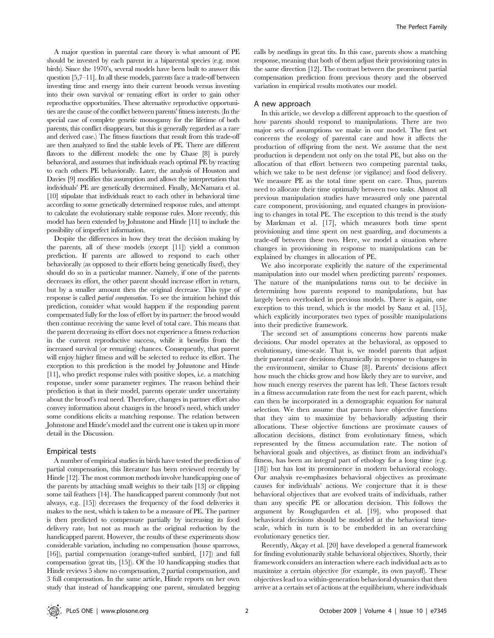A major question in parental care theory is what amount of PE should be invested by each parent in a biparental species (e.g. most birds). Since the 1970's, several models have been built to answer this question [5,7–11]. In all these models, parents face a trade-off between investing time and energy into their current broods versus investing into their own survival or remating effort in order to gain other reproductive opportunities. These alternative reproductive opportunities are the cause of the conflict between parents' fitness interests. (In the special case of complete genetic monogamy for the lifetime of both parents, this conflict disappears, but this is generally regarded as a rare and derived case.) The fitness functions that result from this trade-off are then analyzed to find the stable levels of PE. There are different flavors to the different models: the one by Chase [8] is purely behavioral, and assumes that individuals reach optimal PE by reacting to each others PE behaviorally. Later, the analysis of Houston and Davies [9] modifies this assumption and allows the interpretation that individuals' PE are genetically determined. Finally, McNamara et al. [10] stipulate that individuals react to each other in behavioral time according to some genetically determined response rules, and attempt to calculate the evolutionary stable response rules. More recently, this model has been extended by Johnstone and Hinde [11] to include the possibility of imperfect information.

Despite the differences in how they treat the decision making by the parents, all of these models (except [11]) yield a common prediction. If parents are allowed to respond to each other behaviorally (as opposed to their efforts being genetically fixed), they should do so in a particular manner. Namely, if one of the parents decreases its effort, the other parent should increase effort in return, but by a smaller amount then the original decrease. This type of response is called partial compensation. To see the intuition behind this prediction, consider what would happen if the responding parent compensated fully for the loss of effort by its partner: the brood would then continue receiving the same level of total care. This means that the parent decreasing its effort does not experience a fitness reduction in the current reproductive success, while it benefits from the increased survival (or remating) chances. Consequently, that parent will enjoy higher fitness and will be selected to reduce its effort. The exception to this prediction is the model by Johnstone and Hinde [11], who predict response rules with positive slopes, i.e. a matching response, under some parameter regimes. The reason behind their prediction is that in their model, parents operate under uncertainty about the brood's real need. Therefore, changes in partner effort also convey information about changes in the brood's need, which under some conditions elicits a matching response. The relation between Johnstone and Hinde's model and the current one is taken up in more detail in the Discussion.

#### Empirical tests

A number of empirical studies in birds have tested the prediction of partial compensation, this literature has been reviewed recently by Hinde [12]. The most common methods involve handicapping one of the parents by attaching small weights to their tails [13] or clipping some tail feathers [14]. The handicapped parent commonly (but not always, e.g. [15]) decreases the frequency of the food deliveries it makes to the nest, which is taken to be a measure of PE. The partner is then predicted to compensate partially by increasing its food delivery rate, but not as much as the original reduction by the handicapped parent. However, the results of these experiments show considerable variation, including no compensation (house sparrows, [16]), partial compensation (orange-tufted sunbird, [17]) and full compensation (great tits, [15]). Of the 10 handicapping studies that Hinde reviews 5 show no compensation, 2 partial compensation, and 3 full compensation. In the same article, Hinde reports on her own study that instead of handicapping one parent, simulated begging calls by nestlings in great tits. In this case, parents show a matching response, meaning that both of them adjust their provisioning rates in the same direction [12]. The contrast between the prominent partial compensation prediction from previous theory and the observed variation in empirical results motivates our model.

#### A new approach

In this article, we develop a different approach to the question of how parents should respond to manipulations. There are two major sets of assumptions we make in our model. The first set concerns the ecology of parental care and how it affects the production of offspring from the nest. We assume that the nest production is dependent not only on the total PE, but also on the allocation of that effort between two competing parental tasks, which we take to be nest defense (or vigilance) and food delivery. We measure PE as the total time spent on care. Thus, parents need to allocate their time optimally between two tasks. Almost all previous manipulation studies have measured only one parental care component, provisioning, and equated changes in provisioning to changes in total PE. The exception to this trend is the study by Markman et al. [17], which measures both time spent provisioning and time spent on nest guarding, and documents a trade-off between these two. Here, we model a situation where changes in provisioning in response to manipulations can be explained by changes in allocation of PE.

We also incorporate explicitly the nature of the experimental manipulation into our model when predicting parents' responses. The nature of the manipulations turns out to be decisive in determining how parents respond to manipulations, but has largely been overlooked in previous models. There is again, one exception to this trend, which is the model by Sanz et al. [15], which explicitly incorporates two types of possible manipulations into their predictive framework.

The second set of assumptions concerns how parents make decisions. Our model operates at the behavioral, as opposed to evolutionary, time-scale. That is, we model parents that adjust their parental care decisions dynamically in response to changes in the environment, similar to Chase [8]. Parents' decisions affect how much the chicks grow and how likely they are to survive, and how much energy reserves the parent has left. These factors result in a fitness accumulation rate from the nest for each parent, which can then be incorporated in a demographic equation for natural selection. We then assume that parents have objective functions that they aim to maximize by behaviorally adjusting their allocations. These objective functions are proximate causes of allocation decisions, distinct from evolutionary fitness, which represented by the fitness accumulation rate. The notion of behavioral goals and objectives, as distinct from an individual's fitness, has been an integral part of ethology for a long time (e.g. [18]) but has lost its prominence in modern behavioral ecology. Our analysis re-emphasizes behavioral objectives as proximate causes for individuals' actions. We conjecture that it is these behavioral objectives that are evolved traits of individuals, rather than any specific PE or allocation decision. This follows the argument by Roughgarden et al. [19], who proposed that behavioral decisions should be modeled at the behavioral timescale, which in turn is to be embedded in an overarching evolutionary genetics tier.

Recently, Akçay et al. [20] have developed a general framework for finding evolutionarily stable behavioral objectives. Shortly, their framework considers an interaction where each individual acts as to maximize a certain objective (for example, its own payoff). These objectives lead to a within-generation behavioral dynamics that then arrive at a certain set of actions at the equilibrium, where individuals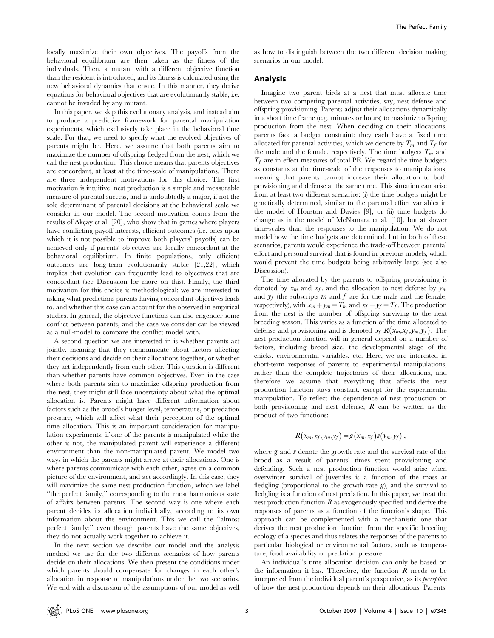locally maximize their own objectives. The payoffs from the behavioral equilibrium are then taken as the fitness of the individuals. Then, a mutant with a different objective function than the resident is introduced, and its fitness is calculated using the new behavioral dynamics that ensue. In this manner, they derive equations for behavioral objectives that are evolutionarily stable, i.e. cannot be invaded by any mutant.

In this paper, we skip this evolutionary analysis, and instead aim to produce a predictive framework for parental manipulation experiments, which exclusively take place in the behavioral time scale. For that, we need to specify what the evolved objectives of parents might be. Here, we assume that both parents aim to maximize the number of offspring fledged from the nest, which we call the nest production. This choice means that parents objectives are concordant, at least at the time-scale of manipulations. There are three independent motivations for this choice. The first motivation is intuitive: nest production is a simple and measurable measure of parental success, and is undoubtedly a major, if not the sole determinant of parental decisions at the behavioral scale we consider in our model. The second motivation comes from the results of Akçay et al. [20], who show that in games where players have conflicting payoff interests, efficient outcomes (i.e. ones upon which it is not possible to improve both players' payoffs) can be achieved only if parents' objectives are locally concordant at the behavioral equilibrium. In finite populations, only efficient outcomes are long-term evolutionarily stable [21,22], which implies that evolution can frequently lead to objectives that are concordant (see Discussion for more on this). Finally, the third motivation for this choice is methodological; we are interested in asking what predictions parents having concordant objectives leads to, and whether this case can account for the observed in empirical studies. In general, the objective functions can also engender some conflict between parents, and the case we consider can be viewed as a null-model to compare the conflict model with.

A second question we are interested in is whether parents act jointly, meaning that they communicate about factors affecting their decisions and decide on their allocations together, or whether they act independently from each other. This question is different than whether parents have common objectives. Even in the case where both parents aim to maximize offspring production from the nest, they might still face uncertainty about what the optimal allocation is. Parents might have different information about factors such as the brood's hunger level, temperature, or predation pressure, which will affect what their perception of the optimal time allocation. This is an important consideration for manipulation experiments: if one of the parents is manipulated while the other is not, the manipulated parent will experience a different environment than the non-manipulated parent. We model two ways in which the parents might arrive at their allocations. One is where parents communicate with each other, agree on a common picture of the environment, and act accordingly. In this case, they will maximize the same nest production function, which we label ''the perfect family,'' corresponding to the most harmonious state of affairs between parents. The second way is one where each parent decides its allocation individually, according to its own information about the environment. This we call the ''almost perfect family:'' even though parents have the same objectives, they do not actually work together to achieve it.

In the next section we describe our model and the analysis method we use for the two different scenarios of how parents decide on their allocations. We then present the conditions under which parents should compensate for changes in each other's allocation in response to manipulations under the two scenarios. We end with a discussion of the assumptions of our model as well

as how to distinguish between the two different decision making scenarios in our model.

## Analysis

Imagine two parent birds at a nest that must allocate time between two competing parental activities, say, nest defense and offspring provisioning. Parents adjust their allocations dynamically in a short time frame (e.g. minutes or hours) to maximize offspring production from the nest. When deciding on their allocations, parents face a budget constraint: they each have a fixed time allocated for parental activities, which we denote by  $T_m$  and  $T_f$  for the male and the female, respectively. The time budgets  $T_m$  and  $T_f$  are in effect measures of total PE. We regard the time budgets as constants at the time-scale of the responses to manipulations, meaning that parents cannot increase their allocation to both provisioning and defense at the same time. This situation can arise from at least two different scenarios: (i) the time budgets might be genetically determined, similar to the parental effort variables in the model of Houston and Davies [9], or (ii) time budgets do change as in the model of McNamara et al. [10], but at slower time-scales than the responses to the manipulation. We do not model how the time budgets are determined, but in both of these scenarios, parents would experience the trade-off between parental effort and personal survival that is found in previous models, which would prevent the time budgets being arbitrarily large (see also Discussion).

The time allocated by the parents to offspring provisioning is denoted by  $x_m$  and  $x_f$ , and the allocation to nest defense by  $y_m$ and  $y_f$  (the subscripts m and f are for the male and the female, respectively), with  $x_m + y_m = T_m$  and  $x_f + y_f = T_f$ . The production from the nest is the number of offspring surviving to the next breeding season. This varies as a function of the time allocated to defense and provisioning and is denoted by  $R(x_m, x_f, y_m, y_f)$ . The nest production function will in general depend on a number of factors, including brood size, the developmental stage of the chicks, environmental variables, etc. Here, we are interested in short-term responses of parents to experimental manipulations, rather than the complete trajectories of their allocations, and therefore we assume that everything that affects the nest production function stays constant, except for the experimental manipulation. To reflect the dependence of nest production on both provisioning and nest defense,  $R$  can be written as the product of two functions:

$$
R(x_m, x_f, y_m, y_f) = g(x_m, x_f) s(y_m, y_f),
$$

where  $g$  and  $s$  denote the growth rate and the survival rate of the brood as a result of parents' times spent provisioning and defending. Such a nest production function would arise when overwinter survival of juveniles is a function of the mass at fledgling (proportional to the growth rate g), and the survival to fledgling is a function of nest predation. In this paper, we treat the nest production function  $R$  as exogenously specified and derive the responses of parents as a function of the function's shape. This approach can be complemented with a mechanistic one that derives the nest production function from the specific breeding ecology of a species and thus relates the responses of the parents to particular biological or environmental factors, such as temperature, food availability or predation pressure.

An individual's time allocation decision can only be based on the information it has. Therefore, the function  $R$  needs to be interpreted from the individual parent's perspective, as its perception of how the nest production depends on their allocations. Parents'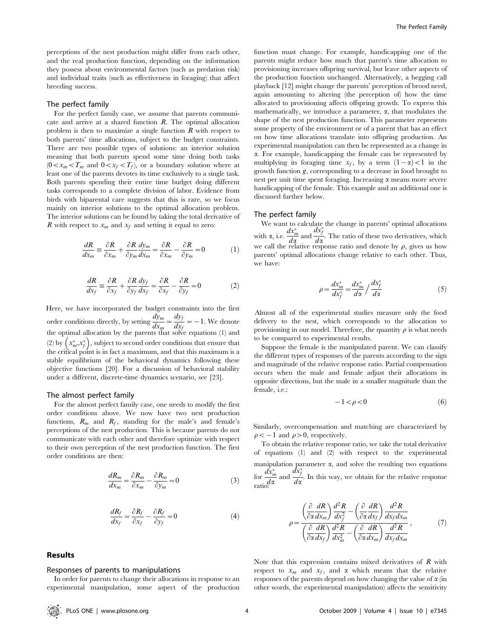perceptions of the nest production might differ from each other, and the real production function, depending on the information they possess about environmental factors (such as predation risk) and individual traits (such as effectiveness in foraging) that affect breeding success.

## The perfect family

For the perfect family case, we assume that parents communicate and arrive at a shared function  $R$ . The optimal allocation problem is then to maximize a single function  $R$  with respect to both parents' time allocations, subject to the budget constraints. There are two possible types of solutions: an interior solution meaning that both parents spend some time doing both tasks  $(0 < x_m < T_m$  and  $0 < x_f < T_f$ ), or a boundary solution where at least one of the parents devotes its time exclusively to a single task. Both parents spending their entire time budget doing different tasks corresponds to a complete division of labor. Evidence from birds with biparental care suggests that this is rare, so we focus mainly on interior solutions to the optimal allocation problem. The interior solutions can be found by taking the total derivative of R with respect to  $x_m$  and  $x_f$  and setting it equal to zero:

$$
\frac{dR}{dx_m} \equiv \frac{\partial R}{\partial x_m} + \frac{\partial R}{\partial y_m} \frac{dy_m}{dx_m} = \frac{\partial R}{\partial x_m} - \frac{\partial R}{\partial y_m} = 0 \tag{1}
$$

$$
\frac{dR}{dx_f} \equiv \frac{\partial R}{\partial x_f} + \frac{\partial R}{\partial y_f} \frac{dy_f}{dx_f} = \frac{\partial R}{\partial x_f} - \frac{\partial R}{\partial y_f} = 0
$$
 (2)

Here, we have incorporated the budget constraints into the first order conditions directly, by setting  $\frac{dy_m}{dx_m}$  $=\frac{dy_j}{dx}$  $\frac{dy_f}{dx_f}$  = -1. We denote the optimal allocation by the parents that solve equations (1) and the optimal and another by the parents that solve equations (1) and (2) by  $(x_m^*, x_f^*)$ , subject to second order conditions that ensure that the critical point is in fact a maximum, and that this maximum is a stable equilibrium of the behavioral dynamics following these objective functions [20]. For a discussion of behavioral stability under a different, discrete-time dynamics scenario, see [23].

#### The almost perfect family

For the almost perfect family case, one needs to modify the first order conditions above. We now have two nest production functions,  $R_m$  and  $R_f$ , standing for the male's and female's perceptions of the nest production. This is because parents do not communicate with each other and therefore optimize with respect to their own perception of the nest production function. The first order conditions are then:

$$
\frac{dR_m}{dx_m} = \frac{\partial R_m}{\partial x_m} - \frac{\partial R_m}{\partial y_m} = 0
$$
\n(3)

$$
\frac{dR_f}{dx_f} = \frac{\partial R_f}{\partial x_f} - \frac{\partial R_f}{\partial y_f} = 0
$$
\n(4)

## Results

#### Responses of parents to manipulations

In order for parents to change their allocations in response to an experimental manipulation, some aspect of the production

function must change. For example, handicapping one of the parents might reduce how much that parent's time allocation to provisioning increases offspring survival, but leave other aspects of the production function unchanged. Alternatively, a begging call playback [12] might change the parents' perception of brood need, again amounting to altering (the perception of) how the time allocated to provisioning affects offspring growth. To express this mathematically, we introduce a parameter,  $\alpha$ , that modulates the shape of the nest production function. This parameter represents some property of the environment or of a parent that has an effect on how time allocations translate into offspring production. An experimental manipulation can then be represented as a change in a. For example, handicapping the female can be represented by multiplying its foraging time  $x_f$ , by a term  $(1-\alpha) < 1$  in the growth function g, corresponding to a decrease in food brought to nest per unit time spent foraging. Increasing  $\alpha$  means more severe handicapping of the female. This example and an additional one is discussed further below.

## The perfect family

We want to calculate the change in parents' optimal allocations with  $\alpha$ , i.e.  $\frac{dx_m^*}{d\alpha}$  and with  $\alpha$ , i.e.  $\frac{dx_m^*}{d\alpha}$  and  $\frac{dx_f^*}{d\alpha}$ . The ratio of these two derivatives, which we call the relative response ratio and denote by  $\rho$ , gives us how parents' optimal allocations change relative to each other. Thus, we have:

$$
\rho = \frac{dx_m^*}{dx_f^*} = \frac{dx_m^*}{d\alpha} / \frac{dx_f^*}{d\alpha} \tag{5}
$$

Almost all of the experimental studies measure only the food delivery to the nest, which corresponds to the allocation to provisioning in our model. Therefore, the quantity  $\rho$  is what needs to be compared to experimental results.

Suppose the female is the manipulated parent. We can classify the different types of responses of the parents according to the sign and magnitude of the relative response ratio. Partial compensation occurs when the male and female adjust their allocations in opposite directions, but the male in a smaller magnitude than the female, i.e.:

$$
-1 < \rho < 0 \tag{6}
$$

Similarly, overcompensation and matching are characterized by  $\rho < -1$  and  $\rho > 0$ , respectively.

To obtain the relative response ratio, we take the total derivative of equations (1) and (2) with respect to the experimental manipulation parameter a, and solve the resulting two equations for  $\frac{d\bar{x}_m^*}{d\alpha}$  and for  $\frac{dx_m^*}{d\alpha}$  and  $\frac{dx_f^*}{d\alpha}$ . In this way, we obtain for the relative response ratio:

$$
\rho = \frac{\left(\frac{\partial}{\partial \alpha} \frac{dR}{dx_m}\right) \frac{d^2R}{dx_f^2} - \left(\frac{\partial}{\partial \alpha} \frac{dR}{dx_f}\right) \frac{d^2R}{dx_f dx_m}}{\left(\frac{\partial}{\partial \alpha} \frac{dR}{dx_f}\right) \frac{d^2R}{dx_m^2} - \left(\frac{\partial}{\partial \alpha} \frac{dR}{dx_m}\right) \frac{d^2R}{dx_f dx_m}},\tag{7}
$$

Note that this expression contains mixed derivatives of  $R$  with respect to  $x_m$  and  $x_f$ , and  $\alpha$  which means that the relative responses of the parents depend on how changing the value of  $\alpha$  (in other words, the experimental manipulation) affects the sensitivity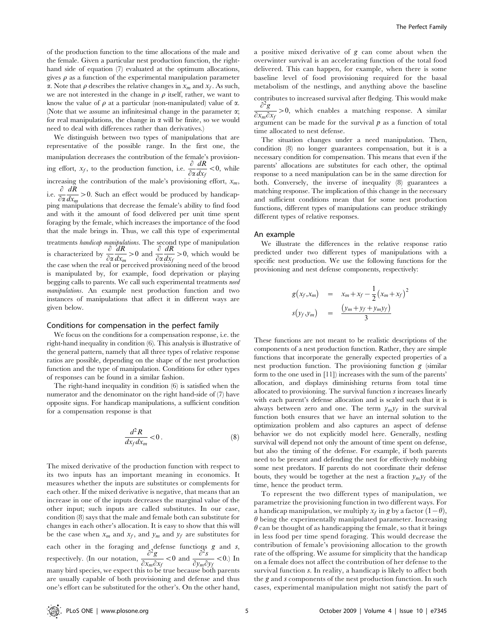of the production function to the time allocations of the male and the female. Given a particular nest production function, the righthand side of equation (7) evaluated at the optimum allocations, gives  $\rho$  as a function of the experimental manipulation parameter  $\alpha$ . Note that  $\rho$  describes the relative changes in  $x_m$  and  $x_f$ . As such, we are not interested in the change in  $\rho$  itself, rather, we want to know the value of  $\rho$  at a particular (non-manipulated) value of  $\alpha$ . (Note that we assume an infinitesimal change in the parameter  $\alpha$ ; for real manipulations, the change in  $\alpha$  will be finite, so we would need to deal with differences rather than derivatives.)

We distinguish between two types of manipulations that are representative of the possible range. In the first one, the manipulation decreases the contribution of the female's provision-<br>ing effort,  $x_f$ , to the production function, i.e.  $\frac{\partial}{\partial \alpha} \frac{dR}{dx_f} < 0$ , while dR  $\frac{dX}{dx}$  < 0, while increasing the contribution of the male's provisioning effort,  $x_m$ , i.e.  $\frac{\partial}{\partial \alpha}$ dR  $\frac{dX}{dx_m} > 0$ . Such an effect would be produced by handicapping manipulations that decrease the female's ability to find food and with it the amount of food delivered per unit time spent foraging by the female, which increases the importance of the food that the male brings in. Thus, we call this type of experimental treatments handicap manipulations. The second type of manipulation is characterized by  $\frac{\partial}{\partial x}$  $\partial \alpha$ dR  $\frac{\partial R}{\partial x_m} > 0$  and  $\frac{\partial R}{\partial a_m}$  $\partial \alpha$ dR  $\frac{dX}{dx} > 0$ , which would be the case when the real or perceived provisioning need of the brood is manipulated by, for example, food deprivation or playing begging calls to parents. We call such experimental treatments need manipulations. An example nest production function and two instances of manipulations that affect it in different ways are given below.

## Conditions for compensation in the perfect family

We focus on the conditions for a compensation response, i.e. the right-hand inequality in condition (6). This analysis is illustrative of the general pattern, namely that all three types of relative response ratios are possible, depending on the shape of the nest production function and the type of manipulation. Conditions for other types of responses can be found in a similar fashion.

The right-hand inequality in condition (6) is satisfied when the numerator and the denominator on the right hand-side of (7) have opposite signs. For handicap manipulations, a sufficient condition for a compensation response is that

$$
\frac{d^2R}{dx_f dx_m} < 0\,. \tag{8}
$$

The mixed derivative of the production function with respect to its two inputs has an important meaning in economics. It measures whether the inputs are substitutes or complements for each other. If the mixed derivative is negative, that means that an increase in one of the inputs decreases the marginal value of the other input; such inputs are called substitutes. In our case, condition (8) says that the male and female both can substitute for changes in each other's allocation. It is easy to show that this will be the case when  $x_m$  and  $x_f$ , and  $y_m$  and  $y_f$  are substitutes for each other in the foraging and defense functions  $g$  and  $s$ , respectively. (In our notation,  $\frac{\partial^2 g}{\partial x^2}$  $\frac{\partial^2 g}{\partial x_m \partial x_f}$  < 0 and  $\frac{\partial^2 s}{\partial y_m \partial x_g}$  $\frac{\partial^2 S}{\partial y_m \partial y_f}$  < 0.) In many bird species, we expect this to be true because both parents are usually capable of both provisioning and defense and thus one's effort can be substituted for the other's. On the other hand,

a positive mixed derivative of g can come about when the overwinter survival is an accelerating function of the total food delivered. This can happen, for example, when there is some baseline level of food provisioning required for the basal metabolism of the nestlings, and anything above the baseline

contributes to increased survival after fledging. This would make  $\partial^2 g$  $\frac{\partial}{\partial x_m \partial x_f} > 0$ , which enables a matching response. A similar argument can be made for the survival  $p$  as a function of total time allocated to nest defense.

The situation changes under a need manipulation. Then, condition (8) no longer guarantees compensation, but it is a necessary condition for compensation. This means that even if the parents' allocations are substitutes for each other, the optimal response to a need manipulation can be in the same direction for both. Conversely, the inverse of inequality (8) guarantees a matching response. The implication of this change in the necessary and sufficient conditions mean that for some nest production functions, different types of manipulations can produce strikingly different types of relative responses.

#### An example

We illustrate the differences in the relative response ratio predicted under two different types of manipulations with a specific nest production. We use the following functions for the provisioning and nest defense components, respectively:

$$
g(x_f, x_m) = x_m + x_f - \frac{1}{2} (x_m + x_f)^2
$$
  

$$
s(y_f, y_m) = \frac{(y_m + y_f + y_m y_f)}{3}
$$

These functions are not meant to be realistic descriptions of the components of a nest production function. Rather, they are simple functions that incorporate the generally expected properties of a nest production function. The provisioning function g (similar form to the one used in [11]) increases with the sum of the parents' allocation, and displays diminishing returns from total time allocated to provisioning. The survival function s increases linearly with each parent's defense allocation and is scaled such that it is always between zero and one. The term  $y_m y_f$  in the survival function both ensures that we have an internal solution to the optimization problem and also captures an aspect of defense behavior we do not explicitly model here. Generally, nestling survival will depend not only the amount of time spent on defense, but also the timing of the defense. For example, if both parents need to be present and defending the nest for effectively mobbing some nest predators. If parents do not coordinate their defense bouts, they would be together at the nest a fraction  $y_m y_f$  of the time, hence the product term.

To represent the two different types of manipulation, we parametrize the provisioning function in two different ways. For a handicap manipulation, we multiply  $x_f$  in g by a factor  $(1-\theta)$ ,  $\theta$  being the experimentally manipulated parameter. Increasing  $\theta$  can be thought of as handicapping the female, so that it brings in less food per time spend foraging. This would decrease the contribution of female's provisioning allocation to the growth rate of the offspring. We assume for simplicity that the handicap on a female does not affect the contribution of her defense to the survival function s. In reality, a handicap is likely to affect both the g and s components of the nest production function. In such cases, experimental manipulation might not satisfy the part of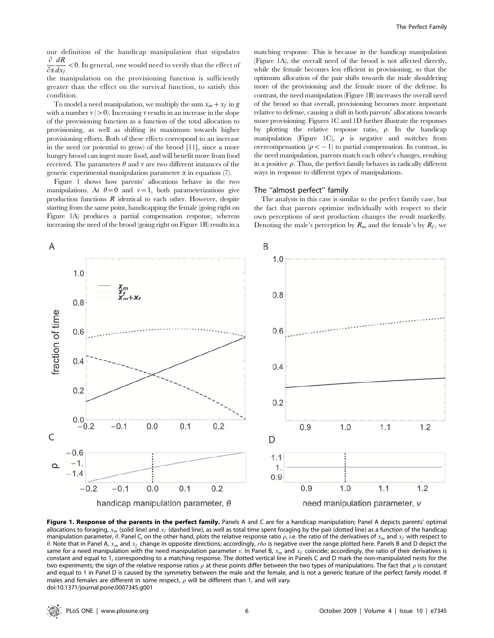our definition of the handicap manipulation that stipulates  $\partial$  dR  $\partial \alpha \, dx_j$ <0. In general, one would need to verify that the effect of the manipulation on the provisioning function is sufficiently greater than the effect on the survival function, to satisfy this condition.

To model a need manipulation, we multiply the sum  $x_m + x_f$  in g with a number  $v > 0$ . Increasing v results in an increase in the slope of the provisioning function as a function of the total allocation to provisioning, as well as shifting its maximum towards higher provisioning efforts. Both of these effects correspond to an increase in the need (or potential to grow) of the brood [11], since a more hungry brood can ingest more food, and will benefit more from food received. The parameters  $\theta$  and v are two different instances of the generic experimental manipulation parameter  $\alpha$  in equation (7).

Figure 1 shows how parents' allocations behave in the two manipulations. At  $\theta=0$  and  $v=1$ , both parameterizations give production functions  $R$  identical to each other. However, despite starting from the same point, handicapping the female (going right on Figure 1A) produces a partial compensation response, whereas increasing the need of the brood (going right on Figure 1B) results in a matching response. This is because in the handicap manipulation (Figure 1A), the overall need of the brood is not affected directly, while the female becomes less efficient in provisioning, so that the optimum allocation of the pair shifts towards the male shouldering more of the provisioning and the female more of the defense. In contrast, the need manipulation (Figure 1B) increases the overall need of the brood so that overall, provisioning becomes more important relative to defense, causing a shift in both parents' allocations towards more provisioning. Figures 1C and 1D further illustrate the responses by plotting the relative response ratio,  $\rho$ . In the handicap manipulation (Figure 1C),  $\rho$  is negative and switches from overcompensation ( $\rho < -1$ ) to partial compensation. In contrast, in the need manipulation, parents match each other's changes, resulting in a positive  $\rho$ . Thus, the perfect family behaves in radically different ways in response to different types of manipulations.

### The ''almost perfect'' family

The analysis in this case is similar to the perfect family case, but the fact that parents optimize individually with respect to their own perceptions of nest production changes the result markedly. Denoting the male's perception by  $R_m$  and the female's by  $R_f$ , we



Figure 1. Response of the parents in the perfect family. Panels A and C are for a handicap manipulation; Panel A depicts parents' optimal allocations to foraging,  $x_m$  (solid line) and  $x_f$  (dashed line), as well as total time spent foraging by the pair (dotted line) as a function of the handicap manipulation parameter,  $\theta$ . Panel C, on the other hand, plots the relative response ratio  $\rho$ , i.e. the ratio of the derivatives of  $x_m$  and  $x_f$  with respect to  $\theta$ . Note that in Panel A,  $x_m$  and  $x_f$  change in opposite directions; accordingly, rho is negative over the range plotted here. Panels B and D depict the same for a need manipulation with the need manipulation parameter v. In Panel B,  $x_m$  and  $x_f$  coincide; accordingly, the ratio of their derivatives is constant and equal to 1, corresponding to a matching response. The dotted vertical line in Panels C and D mark the non-manipulated nests for the two experiments; the sign of the relative response ratios  $\rho$  at these points differ between the two types of manipulations. The fact that  $\rho$  is constant and equal to 1 in Panel D is caused by the symmetry between the male and the female, and is not a generic feature of the perfect family model. If males and females are different in some respect,  $\rho$  will be different than 1, and will vary. doi:10.1371/journal.pone.0007345.g001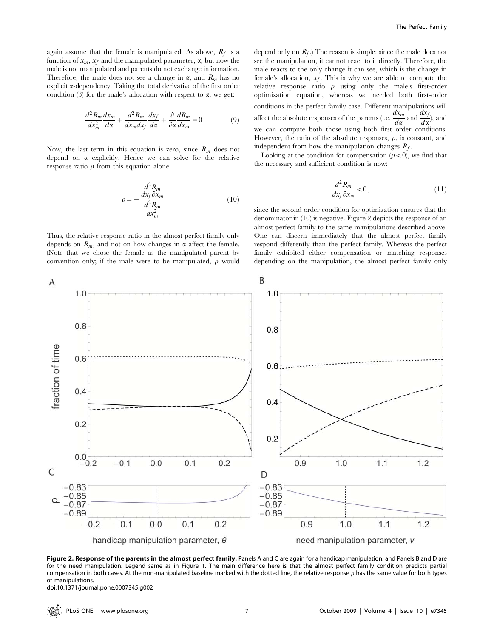again assume that the female is manipulated. As above,  $R_f$  is a function of  $x_m$ ,  $x_f$  and the manipulated parameter,  $\alpha$ , but now the male is not manipulated and parents do not exchange information. Therefore, the male does not see a change in  $\alpha$ , and  $R_m$  has no explicit a-dependency. Taking the total derivative of the first order condition (3) for the male's allocation with respect to  $\alpha$ , we get:

$$
\frac{d^2 R_m}{dx_m^2} \frac{dx_m}{d\alpha} + \frac{d^2 R_m}{dx_m dx_f} \frac{dx_f}{d\alpha} + \frac{\partial}{\partial \alpha} \frac{dR_m}{dx_m} = 0
$$
 (9)

Now, the last term in this equation is zero, since  $R_m$  does not depend on a explicitly. Hence we can solve for the relative response ratio  $\rho$  from this equation alone:

$$
\rho = -\frac{\frac{d^2 R_m}{dx_f \partial x_m}}{\frac{d^2 R_m}{dx_m^2}}\tag{10}
$$

Thus, the relative response ratio in the almost perfect family only depends on  $R_m$ , and not on how changes in  $\alpha$  affect the female. (Note that we chose the female as the manipulated parent by convention only; if the male were to be manipulated,  $\rho$  would depend only on  $R_f$ .) The reason is simple: since the male does not see the manipulation, it cannot react to it directly. Therefore, the male reacts to the only change it can see, which is the change in female's allocation,  $x_f$ . This is why we are able to compute the relative response ratio  $\rho$  using only the male's first-order optimization equation, whereas we needed both first-order conditions in the perfect family case. Different manipulations will affect the absolute responses of the parents (i.e.  $\frac{dx_m}{d\alpha}$  and  $\frac{dx_f}{d\alpha}$ ), and we can compute both those using both first order conditions. However, the ratio of the absolute responses,  $\rho$ , is constant, and independent from how the manipulation changes  $R_f$ .

Looking at the condition for compensation ( $\rho < 0$ ), we find that the necessary and sufficient condition is now:

$$
\frac{d^2R_m}{dx_f\partial x_m} < 0, \qquad (11)
$$

since the second order condition for optimization ensures that the denominator in (10) is negative. Figure 2 depicts the response of an almost perfect family to the same manipulations described above. One can discern immediately that the almost perfect family respond differently than the perfect family. Whereas the perfect family exhibited either compensation or matching responses depending on the manipulation, the almost perfect family only



Figure 2. Response of the parents in the almost perfect family. Panels A and C are again for a handicap manipulation, and Panels B and D are for the need manipulation. Legend same as in Figure 1. The main difference here is that the almost perfect family condition predicts partial compensation in both cases. At the non-manipulated baseline marked with the dotted line, the relative response  $\rho$  has the same value for both types of manipulations.

doi:10.1371/journal.pone.0007345.g002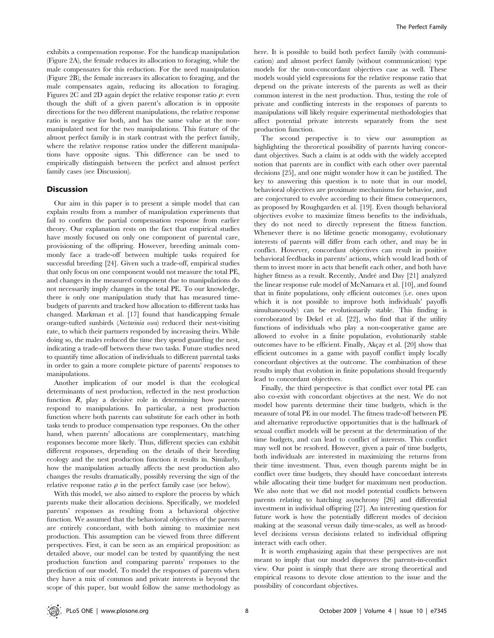exhibits a compensation response. For the handicap manipulation (Figure 2A), the female reduces its allocation to foraging, while the male compensates for this reduction. For the need manipulation (Figure 2B), the female increases its allocation to foraging, and the male compensates again, reducing its allocation to foraging. Figures 2C and 2D again depict the relative response ratio  $\rho$ : even though the shift of a given parent's allocation is in opposite directions for the two different manipulations, the relative response ratio is negative for both, and has the same value at the nonmanipulated nest for the two manipulations. This feature of the almost perfect family is in stark contrast with the perfect family, where the relative response ratios under the different manipulations have opposite signs. This difference can be used to empirically distinguish between the perfect and almost perfect family cases (see Discussion).

### Discussion

Our aim in this paper is to present a simple model that can explain results from a number of manipulation experiments that fail to confirm the partial compensation response from earlier theory. Our explanation rests on the fact that empirical studies have mostly focused on only one component of parental care, provisioning of the offspring. However, breeding animals commonly face a trade-off between multiple tasks required for successful breeding [24]. Given such a trade-off, empirical studies that only focus on one component would not measure the total PE, and changes in the measured component due to manipulations do not necessarily imply changes in the total PE. To our knowledge, there is only one manipulation study that has measured timebudgets of parents and tracked how allocation to different tasks has changed. Markman et al. [17] found that handicapping female orange-tufted sunbirds (Nectarinia osea) reduced their nest-visiting rate, to which their partners responded by increasing theirs. While doing so, the males reduced the time they spend guarding the nest, indicating a trade-off between these two tasks. Future studies need to quantify time allocation of individuals to different parental tasks in order to gain a more complete picture of parents' responses to manipulations.

Another implication of our model is that the ecological determinants of nest production, reflected in the nest production function  $R$ , play a decisive role in determining how parents respond to manipulations. In particular, a nest production function where both parents can substitute for each other in both tasks tends to produce compensation type responses. On the other hand, when parents' allocations are complementary, matching responses become more likely. Thus, different species can exhibit different responses, depending on the details of their breeding ecology and the nest production function it results in. Similarly, how the manipulation actually affects the nest production also changes the results dramatically, possibly reversing the sign of the relative response ratio  $\rho$  in the perfect family case (see below).

With this model, we also aimed to explore the process by which parents make their allocation decisions. Specifically, we modeled parents' responses as resulting from a behavioral objective function. We assumed that the behavioral objectives of the parents are entirely concordant, with both aiming to maximize nest production. This assumption can be viewed from three different perspectives. First, it can be seen as an empirical proposition: as detailed above, our model can be tested by quantifying the nest production function and comparing parents' responses to the prediction of our model. To model the responses of parents when they have a mix of common and private interests is beyond the scope of this paper, but would follow the same methodology as

here. It is possible to build both perfect family (with communication) and almost perfect family (without communication) type models for the non-concordant objectives case as well. These models would yield expressions for the relative response ratio that depend on the private interests of the parents as well as their common interest in the nest production. Thus, testing the role of private and conflicting interests in the responses of parents to manipulations will likely require experimental methodologies that affect potential private interests separately from the nest production function.

The second perspective is to view our assumption as highlighting the theoretical possibility of parents having concordant objectives. Such a claim is at odds with the widely accepted notion that parents are in conflict with each other over parental decisions [25], and one might wonder how it can be justified. The key to answering this question is to note that in our model, behavioral objectives are proximate mechanisms for behavior, and are conjectured to evolve according to their fitness consequences, as proposed by Roughgarden et al. [19]. Even though behavioral objectives evolve to maximize fitness benefits to the individuals, they do not need to directly represent the fitness function. Whenever there is no lifetime genetic monogamy, evolutionary interests of parents will differ from each other, and may be in conflict. However, concordant objectives can result in positive behavioral feedbacks in parents' actions, which would lead both of them to invest more in acts that benefit each other, and both have higher fitness as a result. Recently, André and Day [21] analyzed the linear response rule model of McNamara et al. [10], and found that in finite populations, only efficient outcomes (i.e. ones upon which it is not possible to improve both individuals' payoffs simultaneously) can be evolutionarily stable. This finding is corroborated by Dekel et al. [22], who find that if the utility functions of individuals who play a non-cooperative game are allowed to evolve in a finite population, evolutionarily stable outcomes have to be efficient. Finally, Akçay et al. [20] show that efficient outcomes in a game with payoff conflict imply locally concordant objectives at the outcome. The combination of these results imply that evolution in finite populations should frequently lead to concordant objectives.

Finally, the third perspective is that conflict over total PE can also co-exist with concordant objectives at the nest. We do not model how parents determine their time budgets, which is the measure of total PE in our model. The fitness trade-off between PE and alternative reproductive opportunities that is the hallmark of sexual conflict models will be present at the determination of the time budgets, and can lead to conflict of interests. This conflict may well not be resolved. However, given a pair of time budgets, both individuals are interested in maximizing the returns from their time investment. Thus, even though parents might be in conflict over time budgets, they should have concordant interests while allocating their time budget for maximum nest production. We also note that we did not model potential conflicts between parents relating to hatching asynchrony [26] and differential investment in individual offspring [27]. An interesting question for future work is how the potentially different modes of decision making at the seasonal versus daily time-scales, as well as broodlevel decisions versus decisions related to individual offspring interact with each other.

It is worth emphasizing again that these perspectives are not meant to imply that our model disproves the parents-in-conflict view. Our point is simply that there are strong theoretical and empirical reasons to devote close attention to the issue and the possibility of concordant objectives.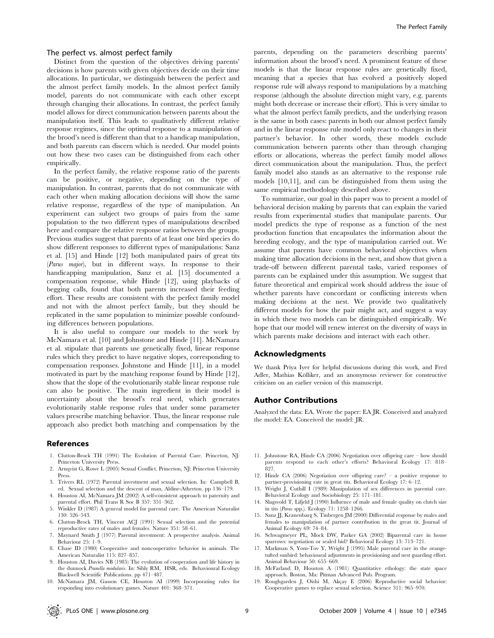#### The perfect vs. almost perfect family

Distinct from the question of the objectives driving parents' decisions is how parents with given objectives decide on their time allocations. In particular, we distinguish between the perfect and the almost perfect family models. In the almost perfect family model, parents do not communicate with each other except through changing their allocations. In contrast, the perfect family model allows for direct communication between parents about the manipulation itself. This leads to qualitatively different relative response regimes, since the optimal response to a manipulation of the brood's need is different than that to a handicap manipulation, and both parents can discern which is needed. Our model points out how these two cases can be distinguished from each other empirically.

In the perfect family, the relative response ratio of the parents can be positive, or negative, depending on the type of manipulation. In contrast, parents that do not communicate with each other when making allocation decisions will show the same relative response, regardless of the type of manipulation. An experiment can subject two groups of pairs from the same population to the two different types of manipulations described here and compare the relative response ratios between the groups. Previous studies suggest that parents of at least one bird species do show different responses to different types of manipulations: Sanz et al. [15] and Hinde [12] both manipulated pairs of great tits (Parus major), but in different ways. In response to their handicapping manipulation, Sanz et al. [15] documented a compensation response, while Hinde [12], using playbacks of begging calls, found that both parents increased their feeding effort. These results are consistent with the perfect family model and not with the almost perfect family, but they should be replicated in the same population to minimize possible confounding differences between populations.

It is also useful to compare our models to the work by McNamara et al. [10] and Johnstone and Hinde [11]. McNamara et al. stipulate that parents use genetically fixed, linear response rules which they predict to have negative slopes, corresponding to compensation responses. Johnstone and Hinde [11], in a model motivated in part by the matching response found by Hinde [12], show that the slope of the evolutionarily stable linear response rule can also be positive. The main ingredient in their model is uncertainty about the brood's real need, which generates evolutionarily stable response rules that under some parameter values prescribe matching behavior. Thus, the linear response rule approach also predict both matching and compensation by the

#### References

- 1. Clutton-Brock TH (1991) The Evolution of Parental Care. Princeton, NJ: Princeton University Press.
- 2. Arnqvist G, Rowe L (2005) Sexual Conflict. Princeton, NJ: Princeton University Press.
- 3. Trivers RL (1972) Parental investment and sexual selection. In: Campbell B, ed. Sexual selection and the descent of man, Aldine-Atherton. pp 136–179.
- 4. Houston AI, McNamara JM (2002) A self-consistent approach to paternity and parental effort. Phil Trans R Soc B 357: 351–362.
- 5. Winkler D (1987) A general model for parental care. The American Naturalist 130: 526–543.
- 6. Clutton-Brock TH, Vincent ACJ (1991) Sexual selection and the potential reproductive rates of males and females. Nature 351: 58–61.
- 7. Maynard Smith J (1977) Parental investment: A prospective analysis. Animal Behaviour 25: 1–9.
- 8. Chase ID (1980) Cooperative and noncooperative behavior in animals. The American Naturalist 115: 827–857.
- 9. Houston AI, Davies NB (1985) The evolution of cooperation and life history in the dunnock Prunella modularis. In: Sibly RM, HSR, eds. Behavioural Ecology Blackwell Scientific Publications. pp 471–487.
- 10. McNamara JM, Gasson CE, Houston AI (1999) Incorporating rules for responding into evolutionary games. Nature 401: 368–371.

parents, depending on the parameters describing parents' information about the brood's need. A prominent feature of these models is that the linear response rules are genetically fixed, meaning that a species that has evolved a positively sloped response rule will always respond to manipulations by a matching response (although the absolute direction might vary, e.g. parents might both decrease or increase their effort). This is very similar to what the almost perfect family predicts, and the underlying reason is the same in both cases: parents in both our almost perfect family and in the linear response rule model only react to changes in their partner's behavior. In other words, these models exclude communication between parents other than through changing efforts or allocations, whereas the perfect family model allows direct communication about the manipulation. Thus, the perfect family model also stands as an alternative to the response rule models [10,11], and can be distinguished from them using the same empirical methodology described above.

To summarize, our goal in this paper was to present a model of behavioral decision making by parents that can explain the varied results from experimental studies that manipulate parents. Our model predicts the type of response as a function of the nest production function that encapsulates the information about the breeding ecology, and the type of manipulation carried out. We assume that parents have common behavioral objectives when making time allocation decisions in the nest, and show that given a trade-off between different parental tasks, varied responses of parents can be explained under this assumption. We suggest that future theoretical and empirical work should address the issue of whether parents have concordant or conflicting interests when making decisions at the nest. We provide two qualitatively different models for how the pair might act, and suggest a way in which these two models can be distinguished empirically. We hope that our model will renew interest on the diversity of ways in which parents make decisions and interact with each other.

#### Acknowledgments

We thank Priya Iyer for helpful discussions during this work, and Fred Adler, Mathias Kölliker, and an anonymous reviewer for constructive criticism on an earlier version of this manuscript.

#### Author Contributions

Analyzed the data: EA. Wrote the paper: EA JR. Conceived and analyzed the model: EA. Conceived the model: JR.

- 11. Johnstone RA, Hinde CA (2006) Negotiation over offspring care how should parents respond to each other's efforts? Behavioral Ecology 17: 818– 827.
- 12. Hinde CA (2006) Negotiation over offspring care? a positive response to partner-provisioning rate in great tits. Behavioral Ecology 17: 6–12.
- 13. Wright J, Cuthill I (1989) Manipulation of sex differences in parental care. Behavioral Ecology and Sociobiology 25: 171–181.
- 14. Slagsvold T, Lifjeld J (1990) Influence of male and female quality on clutch size in tits (Parus spp.). Ecology 71: 1258–1266.
- 15. Sanz JJ, Kranenbarg S, Tinbergen JM (2000) Differential response by males and females to manipulation of partner contribution in the great tit. Journal of Animal Ecology 69: 74–84.
- 16. Schwagmeyer PL, Mock DW, Parker GA (2002) Biparental care in house sparrows: negotiation or sealed bid? Behavioral Ecology 13: 713–721.
- 17. Markman S, Yom-Tov Y, Wright J (1995) Male parental care in the orangetufted sunbird: behavioural adjustments in provisioning and nest guarding effort. Animal Behaviour 50: 655–669.
- 18. McFarland D, Houston A (1981) Quantitative ethology: the state space approach. Boston, Ma: Pitman Advanced Pub. Program.
- 19. Roughgarden J, Oishi M, Akçay E (2006) Reproductive social behavior: Cooperative games to replace sexual selection. Science 311: 965–970.